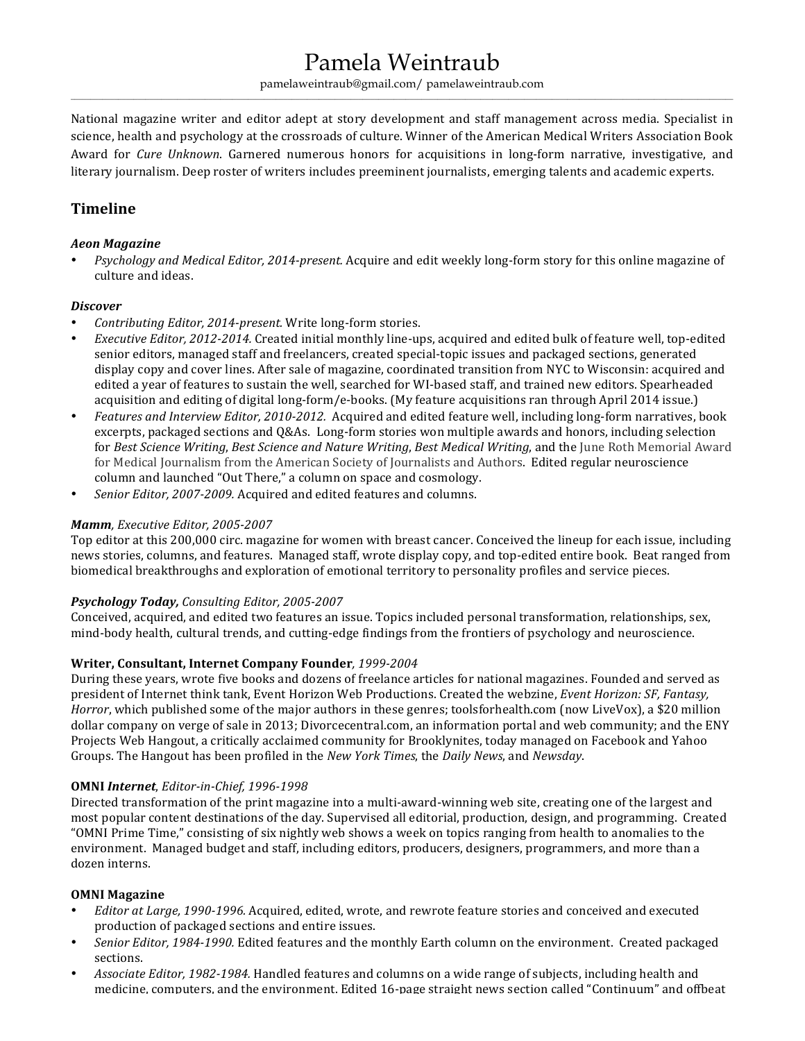# Pamela Weintraub

pamelaweintraub@gmail.com/ pamelaweintraub.com  $\_$  , and the state of the state of the state of the state of the state of the state of the state of the state of the state of the state of the state of the state of the state of the state of the state of the state of the

National magazine writer and editor adept at story development and staff management across media. Specialist in science, health and psychology at the crossroads of culture. Winner of the American Medical Writers Association Book Award for *Cure Unknown*. Garnered numerous honors for acquisitions in long-form narrative, investigative, and literary journalism. Deep roster of writers includes preeminent journalists, emerging talents and academic experts.

# **Timeline**

#### *Aeon Magazine*

*Psychology and Medical Editor, 2014-present.* Acquire and edit weekly long-form story for this online magazine of culture and ideas.

#### *Discover*

- *Contributing Editor, 2014-present.* Write long-form stories.
- *Executive Editor, 2012-2014.* Created initial monthly line-ups, acquired and edited bulk of feature well, top-edited senior editors, managed staff and freelancers, created special-topic issues and packaged sections, generated display copy and cover lines. After sale of magazine, coordinated transition from NYC to Wisconsin: acquired and edited a year of features to sustain the well, searched for WI-based staff, and trained new editors. Spearheaded acquisition and editing of digital long-form/e-books. (My feature acquisitions ran through April 2014 issue.)
- *Features and Interview Editor, 2010-2012.* Acquired and edited feature well, including long-form narratives, book excerpts, packaged sections and Q&As. Long-form stories won multiple awards and honors, including selection for *Best Science Writing*, *Best Science and Nature Writing*, *Best Medical Writing*, and the June Roth Memorial Award for Medical Journalism from the American Society of Journalists and Authors. Edited regular neuroscience column and launched "Out There," a column on space and cosmology.
- *Senior Editor, 2007-2009.* Acquired and edited features and columns.

### *Mamm, Executive Editor, 2005-2007*

Top editor at this 200,000 circ. magazine for women with breast cancer. Conceived the lineup for each issue, including news stories, columns, and features. Managed staff, wrote display copy, and top-edited entire book. Beat ranged from biomedical breakthroughs and exploration of emotional territory to personality profiles and service pieces.

# *Psychology Today, Consulting Editor, 2005-2007*

Conceived, acquired, and edited two features an issue. Topics included personal transformation, relationships, sex, mind-body health, cultural trends, and cutting-edge findings from the frontiers of psychology and neuroscience.

# **Writer, Consultant, Internet Company Founder***, 1999-2004*

During these years, wrote five books and dozens of freelance articles for national magazines. Founded and served as president of Internet think tank, Event Horizon Web Productions. Created the webzine, *Event Horizon: SF, Fantasy, Horror*, which published some of the major authors in these genres; toolsforhealth.com (now LiveVox), a \$20 million dollar company on verge of sale in 2013; Divorcecentral.com, an information portal and web community; and the ENY Projects Web Hangout, a critically acclaimed community for Brooklynites, today managed on Facebook and Yahoo Groups. The Hangout has been profiled in the *New York Times*, the *Daily News*, and *Newsday*.

#### **OMNI** *Internet*, *Editor-in-Chief, 1996-1998*

Directed transformation of the print magazine into a multi-award-winning web site, creating one of the largest and most popular content destinations of the day. Supervised all editorial, production, design, and programming. Created "OMNI Prime Time," consisting of six nightly web shows a week on topics ranging from health to anomalies to the environment. Managed budget and staff, including editors, producers, designers, programmers, and more than a dozen interns.

#### **OMNI Magazine**

- *Editor at Large, 1990-1996.* Acquired, edited, wrote, and rewrote feature stories and conceived and executed production of packaged sections and entire issues.
- Senior Editor, 1984-1990. Edited features and the monthly Earth column on the environment. Created packaged sections.
- Associate Editor, 1982-1984. Handled features and columns on a wide range of subjects, including health and medicine, computers, and the environment. Edited 16-page straight news section called "Continuum" and offbeat